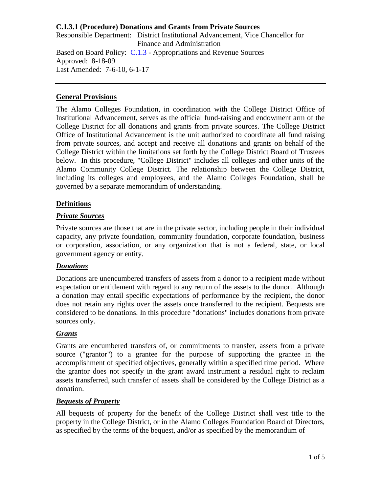Responsible Department: District Institutional Advancement, Vice Chancellor for Finance and Administration Based on Board Policy: [C.1.3](https://www.alamo.edu/siteassets/district/about-us/leadership/board-of-trustees/policies-pdfs/section-c/c.1.3-policy.pdf) - Appropriations and Revenue Sources Approved: 8-18-09 Last Amended: 7-6-10, 6-1-17

## **General Provisions**

The Alamo Colleges Foundation, in coordination with the College District Office of Institutional Advancement, serves as the official fund-raising and endowment arm of the College District for all donations and grants from private sources. The College District Office of Institutional Advancement is the unit authorized to coordinate all fund raising from private sources, and accept and receive all donations and grants on behalf of the College District within the limitations set forth by the College District Board of Trustees below. In this procedure, "College District" includes all colleges and other units of the Alamo Community College District. The relationship between the College District, including its colleges and employees, and the Alamo Colleges Foundation, shall be governed by a separate memorandum of understanding.

# **Definitions**

# *Private Sources*

Private sources are those that are in the private sector, including people in their individual capacity, any private foundation, community foundation, corporate foundation, business or corporation, association, or any organization that is not a federal, state, or local government agency or entity.

## *Donations*

Donations are unencumbered transfers of assets from a donor to a recipient made without expectation or entitlement with regard to any return of the assets to the donor. Although a donation may entail specific expectations of performance by the recipient, the donor does not retain any rights over the assets once transferred to the recipient. Bequests are considered to be donations. In this procedure "donations" includes donations from private sources only.

## *Grants*

Grants are encumbered transfers of, or commitments to transfer, assets from a private source ("grantor") to a grantee for the purpose of supporting the grantee in the accomplishment of specified objectives, generally within a specified time period. Where the grantor does not specify in the grant award instrument a residual right to reclaim assets transferred, such transfer of assets shall be considered by the College District as a donation.

## *Bequests of Property*

All bequests of property for the benefit of the College District shall vest title to the property in the College District, or in the Alamo Colleges Foundation Board of Directors, as specified by the terms of the bequest, and/or as specified by the memorandum of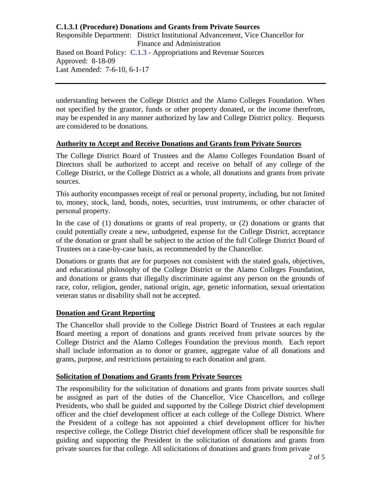Responsible Department: District Institutional Advancement, Vice Chancellor for Finance and Administration Based on Board Policy: [C.1.3](https://www.alamo.edu/siteassets/district/about-us/leadership/board-of-trustees/policies-pdfs/section-c/c.1.3-policy.pdf) - Appropriations and Revenue Sources Approved: 8-18-09 Last Amended: 7-6-10, 6-1-17

understanding between the College District and the Alamo Colleges Foundation. When not specified by the grantor, funds or other property donated, or the income therefrom, may be expended in any manner authorized by law and College District policy. Bequests are considered to be donations.

#### **Authority to Accept and Receive Donations and Grants from Private Sources**

The College District Board of Trustees and the Alamo Colleges Foundation Board of Directors shall be authorized to accept and receive on behalf of any college of the College District, or the College District as a whole, all donations and grants from private sources.

This authority encompasses receipt of real or personal property, including, but not limited to, money, stock, land, bonds, notes, securities, trust instruments, or other character of personal property.

In the case of (1) donations or grants of real property, or (2) donations or grants that could potentially create a new, unbudgeted, expense for the College District, acceptance of the donation or grant shall be subject to the action of the full College District Board of Trustees on a case-by-case basis, as recommended by the Chancellor.

Donations or grants that are for purposes not consistent with the stated goals, objectives, and educational philosophy of the College District or the Alamo Colleges Foundation, and donations or grants that illegally discriminate against any person on the grounds of race, color, religion, gender, national origin, age, genetic information, sexual orientation veteran status or disability shall not be accepted.

## **Donation and Grant Reporting**

The Chancellor shall provide to the College District Board of Trustees at each regular Board meeting a report of donations and grants received from private sources by the College District and the Alamo Colleges Foundation the previous month. Each report shall include information as to donor or grantee, aggregate value of all donations and grants, purpose, and restrictions pertaining to each donation and grant.

#### **Solicitation of Donations and Grants from Private Sources**

The responsibility for the solicitation of donations and grants from private sources shall be assigned as part of the duties of the Chancellor, Vice Chancellors, and college Presidents, who shall be guided and supported by the College District chief development officer and the chief development officer at each college of the College District. Where the President of a college has not appointed a chief development officer for his/her respective college, the College District chief development officer shall be responsible for guiding and supporting the President in the solicitation of donations and grants from private sources for that college. All solicitations of donations and grants from private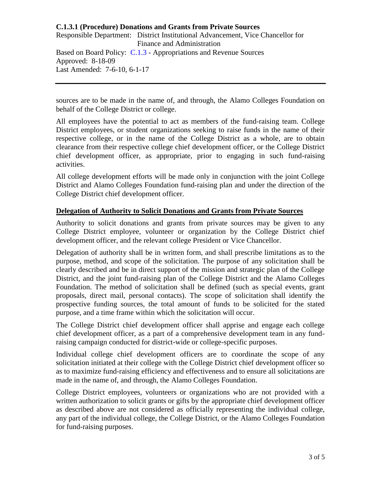Responsible Department: District Institutional Advancement, Vice Chancellor for Finance and Administration Based on Board Policy: [C.1.3](https://www.alamo.edu/siteassets/district/about-us/leadership/board-of-trustees/policies-pdfs/section-c/c.1.3-policy.pdf) - Appropriations and Revenue Sources Approved: 8-18-09 Last Amended: 7-6-10, 6-1-17

sources are to be made in the name of, and through, the Alamo Colleges Foundation on behalf of the College District or college.

All employees have the potential to act as members of the fund-raising team. College District employees, or student organizations seeking to raise funds in the name of their respective college, or in the name of the College District as a whole, are to obtain clearance from their respective college chief development officer, or the College District chief development officer, as appropriate, prior to engaging in such fund-raising activities.

All college development efforts will be made only in conjunction with the joint College District and Alamo Colleges Foundation fund-raising plan and under the direction of the College District chief development officer.

## **Delegation of Authority to Solicit Donations and Grants from Private Sources**

Authority to solicit donations and grants from private sources may be given to any College District employee, volunteer or organization by the College District chief development officer, and the relevant college President or Vice Chancellor.

Delegation of authority shall be in written form, and shall prescribe limitations as to the purpose, method, and scope of the solicitation. The purpose of any solicitation shall be clearly described and be in direct support of the mission and strategic plan of the College District, and the joint fund-raising plan of the College District and the Alamo Colleges Foundation. The method of solicitation shall be defined (such as special events, grant proposals, direct mail, personal contacts). The scope of solicitation shall identify the prospective funding sources, the total amount of funds to be solicited for the stated purpose, and a time frame within which the solicitation will occur.

The College District chief development officer shall apprise and engage each college chief development officer, as a part of a comprehensive development team in any fundraising campaign conducted for district-wide or college-specific purposes.

Individual college chief development officers are to coordinate the scope of any solicitation initiated at their college with the College District chief development officer so as to maximize fund-raising efficiency and effectiveness and to ensure all solicitations are made in the name of, and through, the Alamo Colleges Foundation.

College District employees, volunteers or organizations who are not provided with a written authorization to solicit grants or gifts by the appropriate chief development officer as described above are not considered as officially representing the individual college, any part of the individual college, the College District, or the Alamo Colleges Foundation for fund-raising purposes.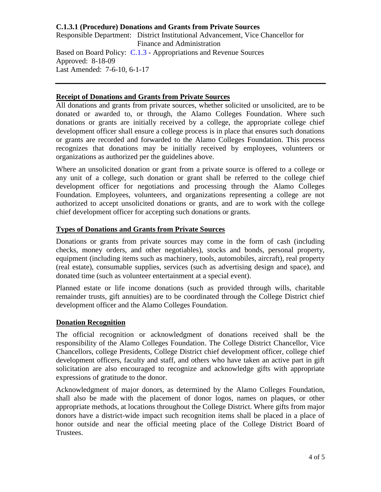Responsible Department: District Institutional Advancement, Vice Chancellor for Finance and Administration Based on Board Policy: [C.1.3](https://www.alamo.edu/siteassets/district/about-us/leadership/board-of-trustees/policies-pdfs/section-c/c.1.3-policy.pdf) - Appropriations and Revenue Sources Approved: 8-18-09 Last Amended: 7-6-10, 6-1-17

### **Receipt of Donations and Grants from Private Sources**

All donations and grants from private sources, whether solicited or unsolicited, are to be donated or awarded to, or through, the Alamo Colleges Foundation. Where such donations or grants are initially received by a college, the appropriate college chief development officer shall ensure a college process is in place that ensures such donations or grants are recorded and forwarded to the Alamo Colleges Foundation. This process recognizes that donations may be initially received by employees, volunteers or organizations as authorized per the guidelines above.

Where an unsolicited donation or grant from a private source is offered to a college or any unit of a college, such donation or grant shall be referred to the college chief development officer for negotiations and processing through the Alamo Colleges Foundation. Employees, volunteers, and organizations representing a college are not authorized to accept unsolicited donations or grants, and are to work with the college chief development officer for accepting such donations or grants.

## **Types of Donations and Grants from Private Sources**

Donations or grants from private sources may come in the form of cash (including checks, money orders, and other negotiables), stocks and bonds, personal property, equipment (including items such as machinery, tools, automobiles, aircraft), real property (real estate), consumable supplies, services (such as advertising design and space), and donated time (such as volunteer entertainment at a special event).

Planned estate or life income donations (such as provided through wills, charitable remainder trusts, gift annuities) are to be coordinated through the College District chief development officer and the Alamo Colleges Foundation.

## **Donation Recognition**

The official recognition or acknowledgment of donations received shall be the responsibility of the Alamo Colleges Foundation. The College District Chancellor, Vice Chancellors, college Presidents, College District chief development officer, college chief development officers, faculty and staff, and others who have taken an active part in gift solicitation are also encouraged to recognize and acknowledge gifts with appropriate expressions of gratitude to the donor.

Acknowledgment of major donors, as determined by the Alamo Colleges Foundation, shall also be made with the placement of donor logos, names on plaques, or other appropriate methods, at locations throughout the College District. Where gifts from major donors have a district-wide impact such recognition items shall be placed in a place of honor outside and near the official meeting place of the College District Board of Trustees.